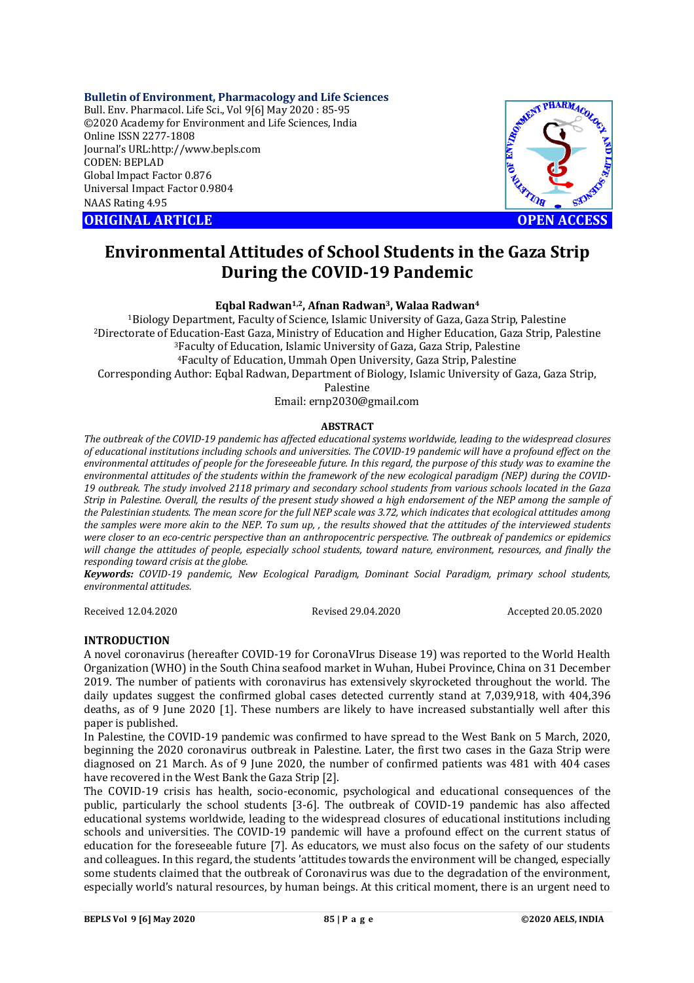## **Bulletin of Environment, Pharmacology and Life Sciences**

Bull. Env. Pharmacol. Life Sci., Vol 9[6] May 2020 : 85-95 ©2020 Academy for Environment and Life Sciences, India Online ISSN 2277-1808 Journal's URL:<http://www.bepls.com> CODEN: BEPLAD Global Impact Factor 0.876 Universal Impact Factor 0.9804 NAAS Rating 4.95





# **Environmental Attitudes of School Students in the Gaza Strip During the COVID-19 Pandemic**

## **Eqbal Radwan1,2, Afnan Radwan3, Walaa Radwan<sup>4</sup>**

Biology Department, Faculty of Science, Islamic University of Gaza, Gaza Strip, Palestine Directorate of Education-East Gaza, Ministry of Education and Higher Education, Gaza Strip, Palestine Faculty of Education, Islamic University of Gaza, Gaza Strip, Palestine Faculty of Education, Ummah Open University, Gaza Strip, Palestine Corresponding Author: Eqbal Radwan, Department of Biology, Islamic University of Gaza, Gaza Strip, Palestine

Email: [ernp2030@gmail.com](mailto:ernp2030@gmail.com)

## **ABSTRACT**

*The outbreak of the COVID-19 pandemic has affected educational systems worldwide, leading to the widespread closures of educational institutions including schools and universities. The COVID-19 pandemic will have a profound effect on the environmental attitudes of people for the foreseeable future. In this regard, the purpose of this study was to examine the environmental attitudes of the students within the framework of the new ecological paradigm (NEP) during the COVID-19 outbreak. The study involved 2118 primary and secondary school students from various schools located in the Gaza Strip in Palestine. Overall, the results of the present study showed a high endorsement of the NEP among the sample of the Palestinian students. The mean score for the full NEP scale was 3.72, which indicates that ecological attitudes among the samples were more akin to the NEP. To sum up, , the results showed that the attitudes of the interviewed students were closer to an eco-centric perspective than an anthropocentric perspective. The outbreak of pandemics or epidemics will change the attitudes of people, especially school students, toward nature, environment, resources, and finally the responding toward crisis at the globe.*

*Keywords: COVID-19 pandemic, New Ecological Paradigm, Dominant Social Paradigm, primary school students, environmental attitudes.*

Received 12.04.2020 Revised 29.04.2020 Accepted 20.05.2020

## **INTRODUCTION**

A novel coronavirus (hereafter COVID-19 for CoronaVIrus Disease 19) was reported to the World Health Organization (WHO) in the South China seafood market in Wuhan, Hubei Province, China on 31 December 2019. The number of patients with coronavirus has extensively skyrocketed throughout the world. The daily updates suggest the confirmed global cases detected currently stand at 7,039,918, with 404,396 deaths, as of 9 June 2020 [1]. These numbers are likely to have increased substantially well after this paper is published.

In Palestine, the COVID-19 pandemic was confirmed to have spread to the West Bank on 5 March, 2020, beginning the 2020 coronavirus outbreak in Palestine. Later, the first two cases in the Gaza Strip were diagnosed on 21 March. As of 9 June 2020, the number of confirmed patients was 481 with 404 cases have recovered in the West Bank the Gaza Strip [2].

The COVID-19 crisis has health, socio-economic, psychological and educational consequences of the public, particularly the school students [3-6]. The outbreak of COVID-19 pandemic has also affected educational systems worldwide, leading to the widespread closures of educational institutions including schools and universities. The COVID-19 pandemic will have a profound effect on the current status of education for the foreseeable future [7]. As educators, we must also focus on the safety of our students and colleagues. In this regard, the students 'attitudes towards the environment will be changed, especially some students claimed that the outbreak of Coronavirus was due to the degradation of the environment, especially world's natural resources, by human beings. At this critical moment, there is an urgent need to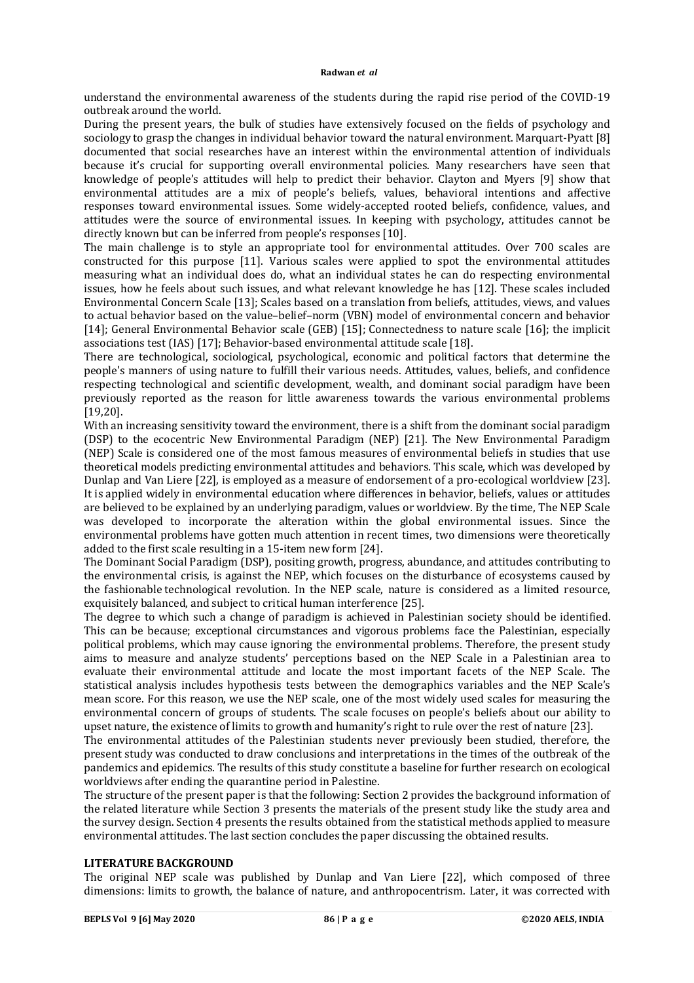understand the environmental awareness of the students during the rapid rise period of the COVID-19 outbreak around the world.

During the present years, the bulk of studies have extensively focused on the fields of psychology and sociology to grasp the changes in individual behavior toward the natural environment. Marquart-Pyatt [8] documented that social researches have an interest within the environmental attention of individuals because it's crucial for supporting overall environmental policies. Many researchers have seen that knowledge of people's attitudes will help to predict their behavior. Clayton and Myers [9] show that environmental attitudes are a mix of people's beliefs, values, behavioral intentions and affective responses toward environmental issues. Some widely-accepted rooted beliefs, confidence, values, and attitudes were the source of environmental issues. In keeping with psychology, attitudes cannot be directly known but can be inferred from people's responses [10].

The main challenge is to style an appropriate tool for environmental attitudes. Over 700 scales are constructed for this purpose [11]. Various scales were applied to spot the environmental attitudes measuring what an individual does do, what an individual states he can do respecting environmental issues, how he feels about such issues, and what relevant knowledge he has [12]. These scales included Environmental Concern Scale [13]; Scales based on a translation from beliefs, attitudes, views, and values to actual behavior based on the value–belief–norm (VBN) model of environmental concern and behavior [14]; General Environmental Behavior scale (GEB) [15]; Connectedness to nature scale [16]; the implicit associations test (IAS) [17]; Behavior-based environmental attitude scale [18].

There are technological, sociological, psychological, economic and political factors that determine the people's manners of using nature to fulfill their various needs. Attitudes, values, beliefs, and confidence respecting technological and scientific development, wealth, and dominant social paradigm have been previously reported as the reason for little awareness towards the various environmental problems [19,20].

With an increasing sensitivity toward the environment, there is a shift from the dominant social paradigm (DSP) to the ecocentric New Environmental Paradigm (NEP) [21]. The New Environmental Paradigm (NEP) Scale is considered one of the most famous measures of environmental beliefs in studies that use theoretical models predicting environmental attitudes and behaviors. This scale, which was developed by Dunlap and Van Liere [22], is employed as a measure of endorsement of a pro-ecological worldview [23]. It is applied widely in environmental education where differences in behavior, beliefs, values or attitudes are believed to be explained by an underlying paradigm, values or worldview. By the time, The NEP Scale was developed to incorporate the alteration within the global environmental issues. Since the environmental problems have gotten much attention in recent times, two dimensions were theoretically added to the first scale resulting in a 15-item new form [24].

The Dominant Social Paradigm (DSP), positing growth, progress, abundance, and attitudes contributing to the environmental crisis, is against the NEP, which focuses on the disturbance of ecosystems caused by the fashionable technological revolution. In the NEP scale, nature is considered as a limited resource, exquisitely balanced, and subject to critical human interference [25].

The degree to which such a change of paradigm is achieved in Palestinian society should be identified. This can be because; exceptional circumstances and vigorous problems face the Palestinian, especially political problems, which may cause ignoring the environmental problems. Therefore, the present study aims to measure and analyze students' perceptions based on the NEP Scale in a Palestinian area to evaluate their environmental attitude and locate the most important facets of the NEP Scale. The statistical analysis includes hypothesis tests between the demographics variables and the NEP Scale's mean score. For this reason, we use the NEP scale, one of the most widely used scales for measuring the environmental concern of groups of students. The scale focuses on people's beliefs about our ability to upset nature, the existence of limits to growth and humanity's right to rule over the rest of nature [23].

The environmental attitudes of the Palestinian students never previously been studied, therefore, the present study was conducted to draw conclusions and interpretations in the times of the outbreak of the pandemics and epidemics. The results of this study constitute a baseline for further research on ecological worldviews after ending the quarantine period in Palestine.

The structure of the present paper is that the following: Section 2 provides the background information of the related literature while Section 3 presents the materials of the present study like the study area and the survey design. Section 4 presents the results obtained from the statistical methods applied to measure environmental attitudes. The last section concludes the paper discussing the obtained results.

## **LITERATURE BACKGROUND**

The original NEP scale was published by Dunlap and Van Liere [22], which composed of three dimensions: limits to growth, the balance of nature, and anthropocentrism. Later, it was corrected with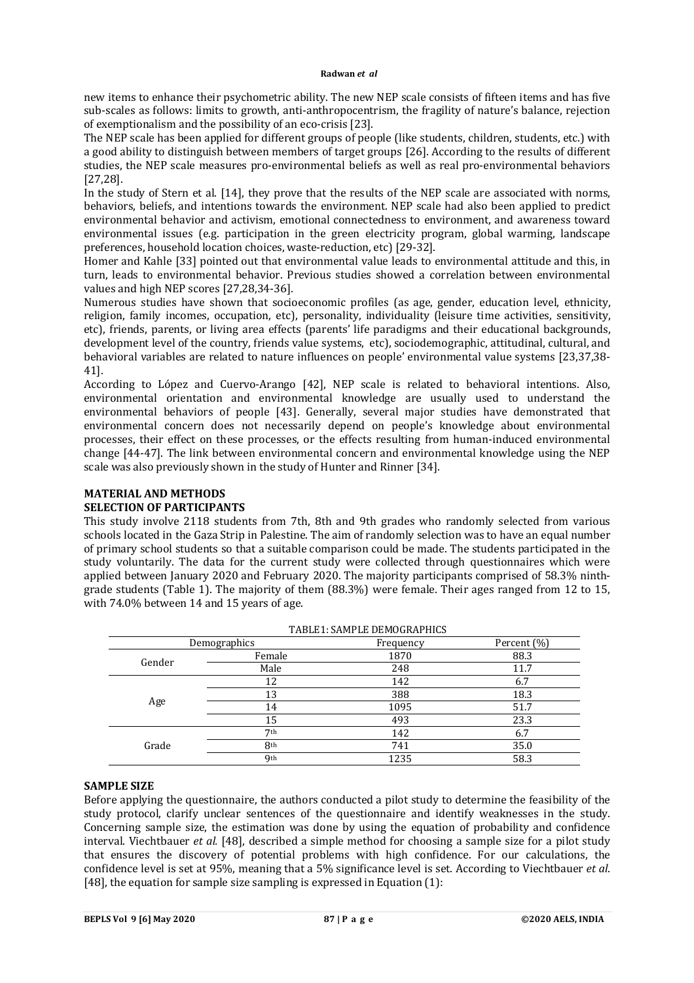new items to enhance their psychometric ability. The new NEP scale consists of fifteen items and has five sub-scales as follows: limits to growth, anti-anthropocentrism, the fragility of nature's balance, rejection of exemptionalism and the possibility of an eco-crisis [23].

The NEP scale has been applied for different groups of people (like students, children, students, etc.) with a good ability to distinguish between members of target groups [26]. According to the results of different studies, the NEP scale measures pro-environmental beliefs as well as real pro-environmental behaviors [27,28].

In the study of Stern et al. [14], they prove that the results of the NEP scale are associated with norms, behaviors, beliefs, and intentions towards the environment. NEP scale had also been applied to predict environmental behavior and activism, emotional connectedness to environment, and awareness toward environmental issues (e.g. participation in the green electricity program, global warming, landscape preferences, household location choices, waste-reduction, etc) [29-32].

Homer and Kahle [33] pointed out that environmental value leads to environmental attitude and this, in turn, leads to environmental behavior. Previous studies showed a correlation between environmental values and high NEP scores [27,28,34-36].

Numerous studies have shown that socioeconomic profiles (as age, gender, education level, ethnicity, religion, family incomes, occupation, etc), personality, individuality (leisure time activities, sensitivity, etc), friends, parents, or living area effects (parents' life paradigms and their educational backgrounds, development level of the country, friends value systems, etc), sociodemographic, attitudinal, cultural, and behavioral variables are related to nature influences on people' environmental value systems [23,37,38- 41].

According to López and Cuervo-Arango [42], NEP scale is related to behavioral intentions. Also, environmental orientation and environmental knowledge are usually used to understand the environmental behaviors of people [43]. Generally, several major studies have demonstrated that environmental concern does not necessarily depend on people's knowledge about environmental processes, their effect on these processes, or the effects resulting from human-induced environmental change [44-47]. The link between environmental concern and environmental knowledge using the NEP scale was also previously shown in the study of Hunter and Rinner [34].

#### **MATERIAL AND METHODS SELECTION OF PARTICIPANTS**

This study involve 2118 students from 7th, 8th and 9th grades who randomly selected from various schools located in the Gaza Strip in Palestine. The aim of randomly selection was to have an equal number of primary school students so that a suitable comparison could be made. The students participated in the study voluntarily. The data for the current study were collected through questionnaires which were applied between January 2020 and February 2020. The majority participants comprised of 58.3% ninthgrade students (Table 1). The majority of them (88.3%) were female. Their ages ranged from 12 to 15, with 74.0% between 14 and 15 years of age.

| Percent (%) |
|-------------|
|             |
| 88.3        |
| 11.7        |
| 6.7         |
| 18.3        |
| 51.7        |
| 23.3        |
| 6.7         |
| 35.0        |
| 58.3        |
|             |

 $T_{\rm{ADI}}$   $T_{\rm{A}}$   $T_{\rm{ADI}}$   $T_{\rm{D}}$   $T_{\rm{D}}$   $T_{\rm{D}}$   $T_{\rm{D}}$   $T_{\rm{D}}$   $T_{\rm{D}}$   $T_{\rm{D}}$ 

## **SAMPLE SIZE**

Before applying the questionnaire, the authors conducted a pilot study to determine the feasibility of the study protocol, clarify unclear sentences of the questionnaire and identify weaknesses in the study. Concerning sample size, the estimation was done by using the equation of probability and confidence interval. Viechtbauer *et al.* [48], described a simple method for choosing a sample size for a pilot study that ensures the discovery of potential problems with high confidence. For our calculations, the confidence level is set at 95%, meaning that a 5% significance level is set. According to Viechtbauer *et al*. [48], the equation for sample size sampling is expressed in Equation (1):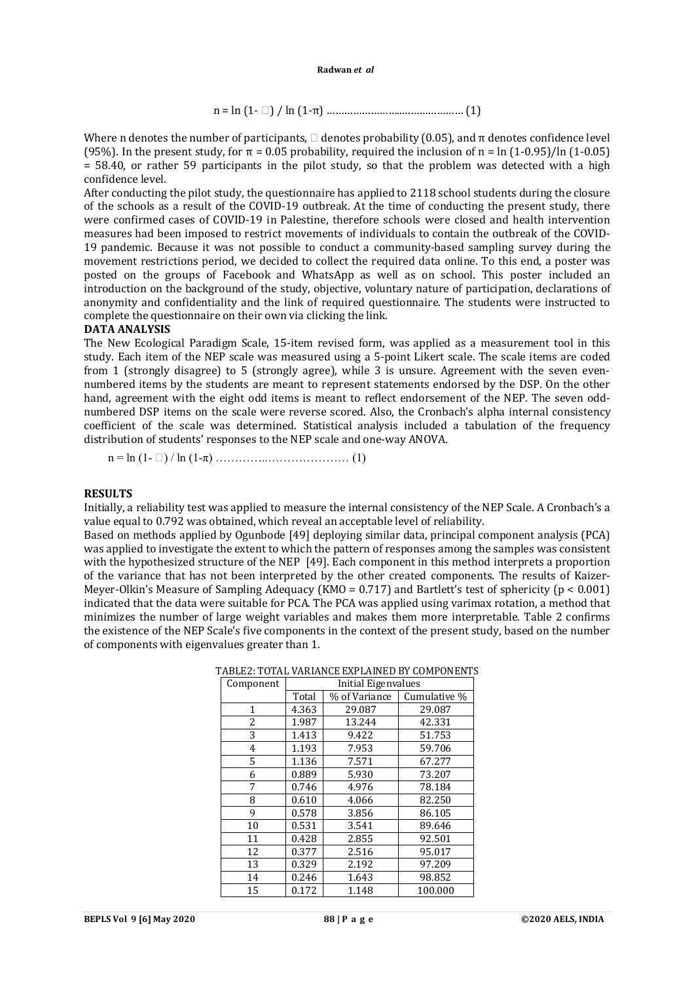n = ln (1- ) / ln (1-π) ……………………..………………… (1)

Where n denotes the number of participants,  $\Box$  denotes probability (0.05), and  $\pi$  denotes confidence level (95%). In the present study, for  $\pi = 0.05$  probability, required the inclusion of n = ln (1-0.95)/ln (1-0.05)  $=$  58.40, or rather 59 participants in the pilot study, so that the problem was detected with a high confidence level.

After conducting the pilot study, the questionnaire has applied to 2118 school students during the closure of the schools as a result of the COVID-19 outbreak. At the time of conducting the present study, there were confirmed cases of COVID-19 in Palestine, therefore schools were closed and health intervention measures had been imposed to restrict movements of individuals to contain the outbreak of the COVID-19 pandemic. Because it was not possible to conduct a community-based sampling survey during the movement restrictions period, we decided to collect the required data online. To this end, a poster was posted on the groups of Facebook and WhatsApp as well as on school. This poster included an introduction on the background of the study, objective, voluntary nature of participation, declarations of anonymity and confidentiality and the link of required questionnaire. The students were instructed to complete the questionnaire on their own via clicking the link.

## **DATA ANALYSIS**

The New Ecological Paradigm Scale, 15-item revised form, was applied as a measurement tool in this study. Each item of the NEP scale was measured using a 5-point Likert scale. The scale items are coded from 1 (strongly disagree) to 5 (strongly agree), while 3 is unsure. Agreement with the seven evennumbered items by the students are meant to represent statements endorsed by the DSP. On the other hand, agreement with the eight odd items is meant to reflect endorsement of the NEP. The seven oddnumbered DSP items on the scale were reverse scored. Also, the Cronbach's alpha internal consistency coefficient of the scale was determined. Statistical analysis included a tabulation of the frequency distribution of students' responses to the NEP scale and one-way ANOVA.

n = ln (1- ) / ln (1-π) …………..………………… (1)

#### **RESULTS**

Initially, a reliability test was applied to measure the internal consistency of the NEP Scale. A Cronbach's a value equal to 0.792 was obtained, which reveal an acceptable level of reliability.

Based on methods applied by Ogunbode [49] deploying similar data, principal component analysis (PCA) was applied to investigate the extent to which the pattern of responses among the samples was consistent with the hypothesized structure of the NEP [49]. Each component in this method interprets a proportion of the variance that has not been interpreted by the other created components. The results of Κaizer-Meyer-Olkin's Measure of Sampling Adequacy (KMO = 0.717) and Bartlett's test of sphericity (p < 0.001) indicated that the data were suitable for PCA. The PCA was applied using varimax rotation, a method that minimizes the number of large weight variables and makes them more interpretable. Table 2 confirms the existence of the NEP Scale's five components in the context of the present study, based on the number of components with eigenvalues greater than 1.

| Component | Initial Eigenvalues |               |              |  |  |  |  |
|-----------|---------------------|---------------|--------------|--|--|--|--|
|           | Total               | % of Variance | Cumulative % |  |  |  |  |
| 1         | 4.363               | 29.087        | 29.087       |  |  |  |  |
| 2         | 1.987               | 13.244        | 42.331       |  |  |  |  |
| 3         | 1.413               | 9.422         | 51.753       |  |  |  |  |
| 4         | 1.193               | 7.953         | 59.706       |  |  |  |  |
| 5         | 1.136               | 7.571         | 67.277       |  |  |  |  |
| 6         | 0.889               | 5.930         | 73.207       |  |  |  |  |
| 7         | 0.746               | 4.976         | 78.184       |  |  |  |  |
| 8         | 0.610               | 4.066         | 82.250       |  |  |  |  |
| 9         | 0.578               | 3.856         | 86.105       |  |  |  |  |
| 10        | 0.531               | 3.541         | 89.646       |  |  |  |  |
| 11        | 0.428               | 2.855         | 92.501       |  |  |  |  |
| 12        | 0.377               | 2.516         | 95.017       |  |  |  |  |
| 13        | 0.329               | 2.192         | 97.209       |  |  |  |  |
| 14        | 0.246               | 1.643         | 98.852       |  |  |  |  |
| 15        | 0.172               | 1.148         | 100.000      |  |  |  |  |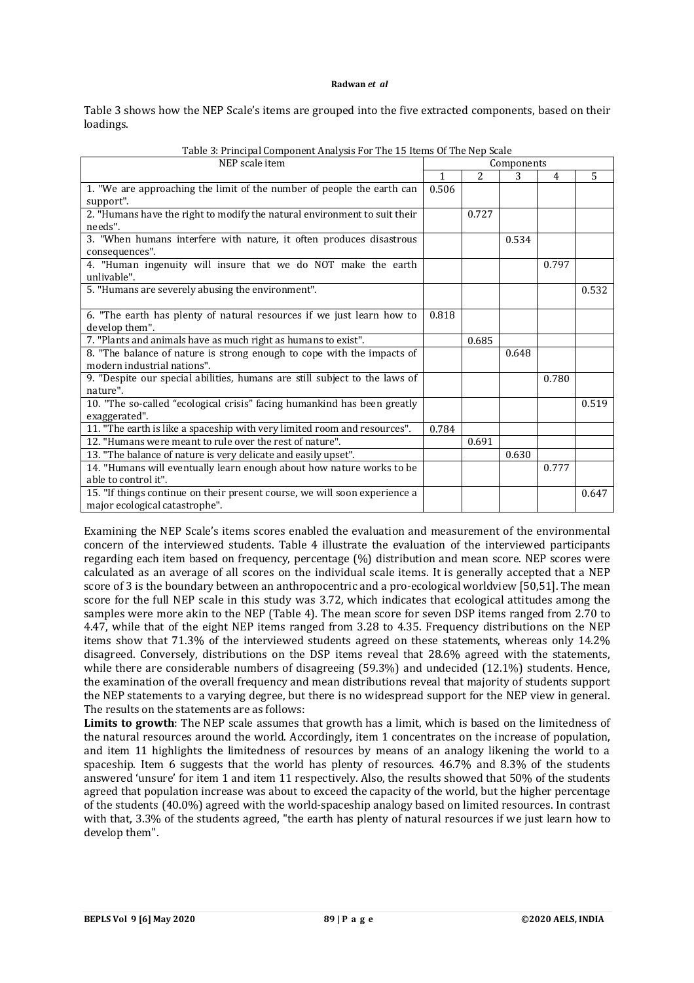Table 3 shows how the NEP Scale's items are grouped into the five extracted components, based on their loadings.

| NEP scale item                                                             | Components |                |       |       |       |
|----------------------------------------------------------------------------|------------|----------------|-------|-------|-------|
|                                                                            | 1          | $\overline{c}$ | 3     | 4     | 5     |
| 1. "We are approaching the limit of the number of people the earth can     | 0.506      |                |       |       |       |
| support".                                                                  |            |                |       |       |       |
| 2. "Humans have the right to modify the natural environment to suit their  |            | 0.727          |       |       |       |
| needs".                                                                    |            |                |       |       |       |
| 3. "When humans interfere with nature, it often produces disastrous        |            |                | 0.534 |       |       |
| consequences".                                                             |            |                |       |       |       |
| 4. "Human ingenuity will insure that we do NOT make the earth              |            |                |       | 0.797 |       |
| unlivable".                                                                |            |                |       |       |       |
| 5. "Humans are severely abusing the environment".                          |            |                |       |       | 0.532 |
|                                                                            |            |                |       |       |       |
| 6. "The earth has plenty of natural resources if we just learn how to      | 0.818      |                |       |       |       |
| develop them".                                                             |            |                |       |       |       |
| 7. "Plants and animals have as much right as humans to exist".             |            | 0.685          |       |       |       |
| 8. "The balance of nature is strong enough to cope with the impacts of     |            |                | 0.648 |       |       |
| modern industrial nations".                                                |            |                |       |       |       |
| 9. "Despite our special abilities, humans are still subject to the laws of |            |                |       | 0.780 |       |
| nature".                                                                   |            |                |       |       |       |
| 10. "The so-called "ecological crisis" facing humankind has been greatly   |            |                |       |       | 0.519 |
| exaggerated".                                                              |            |                |       |       |       |
| 11. "The earth is like a spaceship with very limited room and resources".  | 0.784      |                |       |       |       |
| 12. "Humans were meant to rule over the rest of nature".                   |            | 0.691          |       |       |       |
| 13. "The balance of nature is very delicate and easily upset".             |            |                | 0.630 |       |       |
| 14. "Humans will eventually learn enough about how nature works to be      |            |                |       | 0.777 |       |
| able to control it".                                                       |            |                |       |       |       |
| 15. "If things continue on their present course, we will soon experience a |            |                |       |       | 0.647 |
| major ecological catastrophe".                                             |            |                |       |       |       |

| Table 3: Principal Component Analysis For The 15 Items Of The Nep Scale |  |  |
|-------------------------------------------------------------------------|--|--|
|                                                                         |  |  |

Examining the NEP Scale's items scores enabled the evaluation and measurement of the environmental concern of the interviewed students. Table 4 illustrate the evaluation of the interviewed participants regarding each item based on frequency, percentage (%) distribution and mean score. NEP scores were calculated as an average of all scores on the individual scale items. It is generally accepted that a NEP score of 3 is the boundary between an anthropocentric and a pro-ecological worldview [50,51]. The mean score for the full NEP scale in this study was 3.72, which indicates that ecological attitudes among the samples were more akin to the NEP (Table 4). The mean score for seven DSP items ranged from 2.70 to 4.47, while that of the eight NEP items ranged from 3.28 to 4.35. Frequency distributions on the NEP items show that 71.3% of the interviewed students agreed on these statements, whereas only 14.2% disagreed. Conversely, distributions on the DSP items reveal that 28.6% agreed with the statements, while there are considerable numbers of disagreeing (59.3%) and undecided (12.1%) students. Hence, the examination of the overall frequency and mean distributions reveal that majority of students support the NEP statements to a varying degree, but there is no widespread support for the NEP view in general. The results on the statements are as follows:

**Limits to growth**: The NEP scale assumes that growth has a limit, which is based on the limitedness of the natural resources around the world. Accordingly, item 1 concentrates on the increase of population, and item 11 highlights the limitedness of resources by means of an analogy likening the world to a spaceship. Item 6 suggests that the world has plenty of resources. 46.7% and 8.3% of the students answered 'unsure' for item 1 and item 11 respectively. Also, the results showed that 50% of the students agreed that population increase was about to exceed the capacity of the world, but the higher percentage of the students (40.0%) agreed with the world-spaceship analogy based on limited resources. In contrast with that, 3.3% of the students agreed, "the earth has plenty of natural resources if we just learn how to develop them".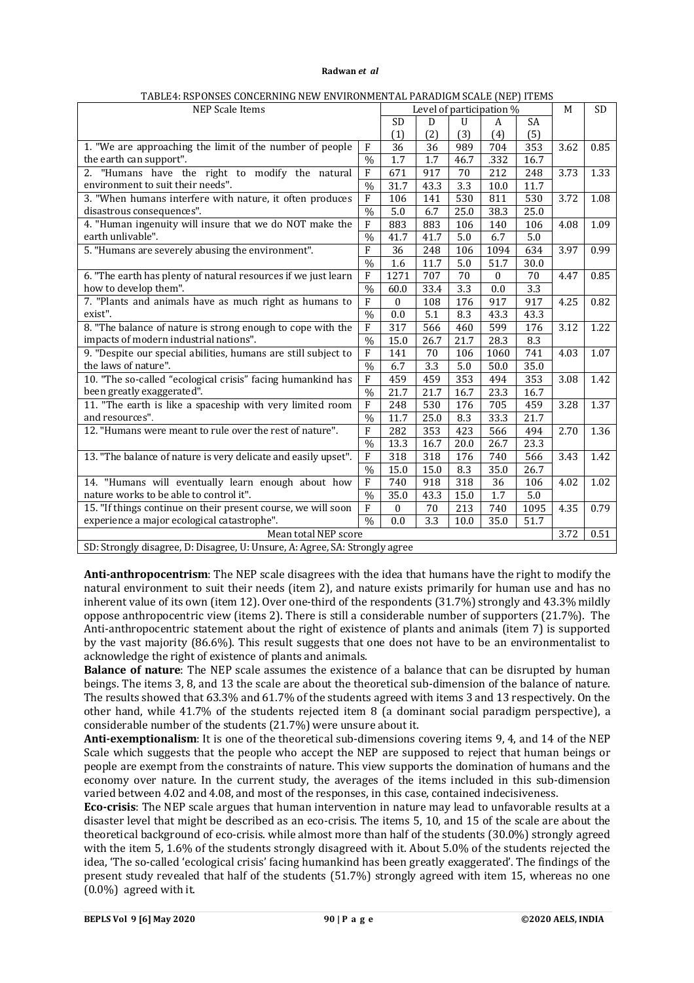| <b>NEP Scale Items</b>                                                      |                          |              | Level of participation % |      |          |           | M    | SD   |
|-----------------------------------------------------------------------------|--------------------------|--------------|--------------------------|------|----------|-----------|------|------|
|                                                                             |                          | <b>SD</b>    | D                        | U    | A        | <b>SA</b> |      |      |
|                                                                             |                          | (1)          | (2)                      | (3)  | (4)      | (5)       |      |      |
| 1. "We are approaching the limit of the number of people                    | $\mathbf{F}$             | 36           | 36                       | 989  | 704      | 353       | 3.62 | 0.85 |
| the earth can support".                                                     | $\overline{\frac{0}{6}}$ | 1.7          | $\overline{1.7}$         | 46.7 | .332     | 16.7      |      |      |
| 2. "Humans have the right to modify the natural                             | ${\bf F}$                | 671          | 917                      | 70   | 212      | 248       | 3.73 | 1.33 |
| environment to suit their needs".                                           | $\frac{0}{0}$            | 31.7         | 43.3                     | 3.3  | 10.0     | 11.7      |      |      |
| 3. "When humans interfere with nature, it often produces                    | F                        | 106          | 141                      | 530  | 811      | 530       | 3.72 | 1.08 |
| disastrous consequences".                                                   | $\%$                     | $5.0\,$      | 6.7                      | 25.0 | 38.3     | 25.0      |      |      |
| 4. "Human ingenuity will insure that we do NOT make the                     | F                        | 883          | 883                      | 106  | 140      | 106       | 4.08 | 1.09 |
| earth unlivable".                                                           | $\%$                     | 41.7         | 41.7                     | 5.0  | 6.7      | 5.0       |      |      |
| 5. "Humans are severely abusing the environment".                           | F                        | 36           | 248                      | 106  | 1094     | 634       | 3.97 | 0.99 |
|                                                                             | $\%$                     | 1.6          | 11.7                     | 5.0  | 51.7     | 30.0      |      |      |
| 6. "The earth has plenty of natural resources if we just learn              | $\overline{F}$           | 1271         | 707                      | 70   | $\theta$ | 70        | 4.47 | 0.85 |
| how to develop them".                                                       | $\%$                     | 60.0         | 33.4                     | 3.3  | 0.0      | 3.3       |      |      |
| 7. "Plants and animals have as much right as humans to                      | $\mathbf{F}$             | $\mathbf{0}$ | 108                      | 176  | 917      | 917       | 4.25 | 0.82 |
| exist".                                                                     | $\overline{\frac{9}{6}}$ | 0.0          | 5.1                      | 8.3  | 43.3     | 43.3      |      |      |
| 8. "The balance of nature is strong enough to cope with the                 | F                        | 317          | 566                      | 460  | 599      | 176       | 3.12 | 1.22 |
| impacts of modern industrial nations".                                      | $\frac{0}{0}$            | 15.0         | 26.7                     | 21.7 | 28.3     | 8.3       |      |      |
| 9. "Despite our special abilities, humans are still subject to              | $\mathbf{F}$             | 141          | 70                       | 106  | 1060     | 741       | 4.03 | 1.07 |
| the laws of nature".                                                        | $\frac{0}{0}$            | 6.7          | 3.3                      | 5.0  | 50.0     | 35.0      |      |      |
| 10. "The so-called "ecological crisis" facing humankind has                 | ${\bf F}$                | 459          | 459                      | 353  | 494      | 353       | 3.08 | 1.42 |
| been greatly exaggerated".                                                  | $\overline{\frac{0}{0}}$ | 21.7         | 21.7                     | 16.7 | 23.3     | 16.7      |      |      |
| 11. "The earth is like a spaceship with very limited room                   | $\overline{F}$           | 248          | 530                      | 176  | 705      | 459       | 3.28 | 1.37 |
| and resources".                                                             | $\frac{0}{0}$            | 11.7         | 25.0                     | 8.3  | 33.3     | 21.7      |      |      |
| 12. "Humans were meant to rule over the rest of nature".                    | F                        | 282          | 353                      | 423  | 566      | 494       | 2.70 | 1.36 |
|                                                                             | $\frac{0}{0}$            | 13.3         | 16.7                     | 20.0 | 26.7     | 23.3      |      |      |
| 13. "The balance of nature is very delicate and easily upset".              | $\overline{F}$           | 318          | 318                      | 176  | 740      | 566       | 3.43 | 1.42 |
|                                                                             | $\frac{0}{0}$            | 15.0         | 15.0                     | 8.3  | 35.0     | 26.7      |      |      |
| 14. "Humans will eventually learn enough about how                          | $\overline{F}$           | 740          | 918                      | 318  | 36       | 106       | 4.02 | 1.02 |
| nature works to be able to control it".                                     | $\frac{0}{0}$            | 35.0         | 43.3                     | 15.0 | 1.7      | 5.0       |      |      |
| 15. "If things continue on their present course, we will soon               | $\mathbf{F}$             | $\theta$     | 70                       | 213  | 740      | 1095      | 4.35 | 0.79 |
| experience a major ecological catastrophe".                                 | $\frac{0}{0}$            | 0.0          | 3.3                      | 10.0 | 35.0     | 51.7      |      |      |
| Mean total NEP score                                                        |                          |              |                          |      |          | 3.72      | 0.51 |      |
| SD: Strongly disagree, D: Disagree, U: Unsure, A: Agree, SA: Strongly agree |                          |              |                          |      |          |           |      |      |

TABLE4: RSPONSES CONCERNING NEW ENVIRONMENTAL PARADIGM SCALE (NEP) ITEMS

**Anti-anthropocentrism**: The NEP scale disagrees with the idea that humans have the right to modify the natural environment to suit their needs (item 2), and nature exists primarily for human use and has no inherent value of its own (item 12). Over one-third of the respondents (31.7%) strongly and 43.3% mildly oppose anthropocentric view (items 2). There is still a considerable number of supporters (21.7%). The Anti-anthropocentric statement about the right of existence of plants and animals (item 7) is supported by the vast majority (86.6%). This result suggests that one does not have to be an environmentalist to acknowledge the right of existence of plants and animals.

**Balance of nature**: The NEP scale assumes the existence of a balance that can be disrupted by human beings. The items 3, 8, and 13 the scale are about the theoretical sub-dimension of the balance of nature. The results showed that 63.3% and 61.7% of the students agreed with items 3 and 13 respectively. On the other hand, while 41.7% of the students rejected item 8 (a dominant social paradigm perspective), a considerable number of the students (21.7%) were unsure about it.

**Anti-exemptionalism**: It is one of the theoretical sub-dimensions covering items 9, 4, and 14 of the NEP Scale which suggests that the people who accept the NEP are supposed to reject that human beings or people are exempt from the constraints of nature. This view supports the domination of humans and the economy over nature. In the current study, the averages of the items included in this sub-dimension varied between 4.02 and 4.08, and most of the responses, in this case, contained indecisiveness.

**Eco-crisis**: The NEP scale argues that human intervention in nature may lead to unfavorable results at a disaster level that might be described as an eco-crisis. The items 5, 10, and 15 of the scale are about the theoretical background of eco-crisis. while almost more than half of the students (30.0%) strongly agreed with the item 5, 1.6% of the students strongly disagreed with it. About 5.0% of the students rejected the idea, 'The so-called 'ecological crisis' facing humankind has been greatly exaggerated'. The findings of the present study revealed that half of the students (51.7%) strongly agreed with item 15, whereas no one (0.0%) agreed with it.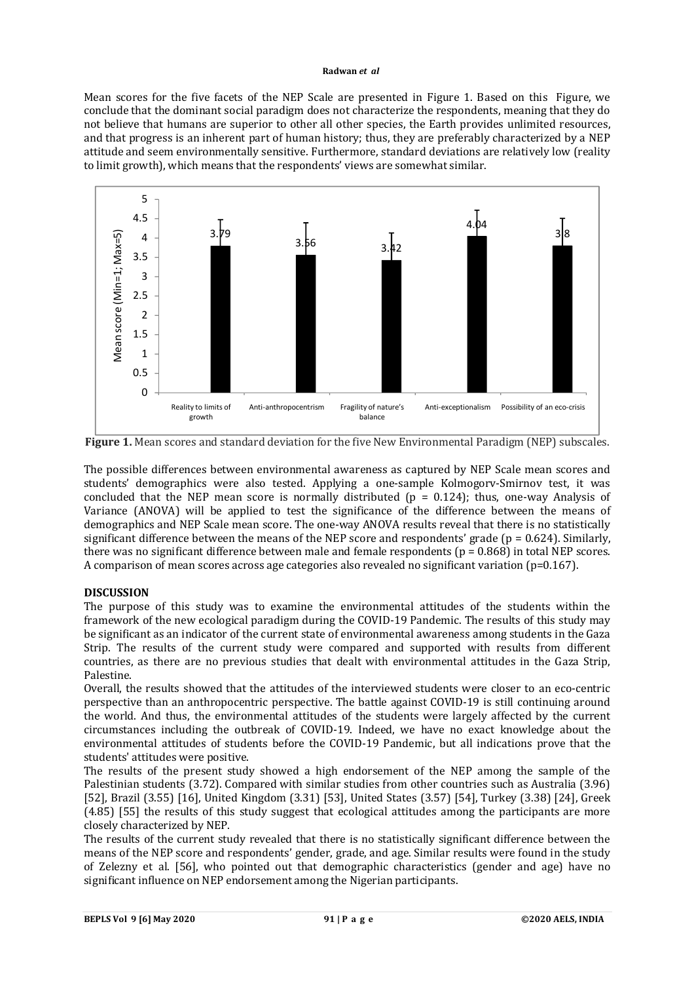Mean scores for the five facets of the NEP Scale are presented in Figure 1. Based on this Figure, we conclude that the dominant social paradigm does not characterize the respondents, meaning that they do not believe that humans are superior to other all other species, the Earth provides unlimited resources, and that progress is an inherent part of human history; thus, they are preferably characterized by a NEP attitude and seem environmentally sensitive. Furthermore, standard deviations are relatively low (reality to limit growth), which means that the respondents' views are somewhat similar.



**Figure 1.** Mean scores and standard deviation for the five New Environmental Paradigm (NEP) subscales.

The possible differences between environmental awareness as captured by NEP Scale mean scores and students' demographics were also tested. Applying a one-sample Kolmogorv-Smirnov test, it was concluded that the NEP mean score is normally distributed ( $p = 0.124$ ); thus, one-way Analysis of Variance (ANOVA) will be applied to test the significance of the difference between the means of demographics and NEP Scale mean score. The one-way ANOVA results reveal that there is no statistically significant difference between the means of the NEP score and respondents' grade ( $p = 0.624$ ). Similarly, there was no significant difference between male and female respondents ( $p = 0.868$ ) in total NEP scores. A comparison of mean scores across age categories also revealed no significant variation (p=0.167).

## **DISCUSSION**

The purpose of this study was to examine the environmental attitudes of the students within the framework of the new ecological paradigm during the COVID-19 Pandemic. The results of this study may be significant as an indicator of the current state of environmental awareness among students in the Gaza Strip. The results of the current study were compared and supported with results from different countries, as there are no previous studies that dealt with environmental attitudes in the Gaza Strip, Palestine.

Overall, the results showed that the attitudes of the interviewed students were closer to an eco-centric perspective than an anthropocentric perspective. The battle against COVID-19 is still continuing around the world. And thus, the environmental attitudes of the students were largely affected by the current circumstances including the outbreak of COVID-19. Indeed, we have no exact knowledge about the environmental attitudes of students before the COVID-19 Pandemic, but all indications prove that the students' attitudes were positive.

The results of the present study showed a high endorsement of the NEP among the sample of the Palestinian students (3.72). Compared with similar studies from other countries such as Australia (3.96) [52], Brazil (3.55) [16], United Kingdom (3.31) [53], United States (3.57) [54], Turkey (3.38) [24], Greek (4.85) [55] the results of this study suggest that ecological attitudes among the participants are more closely characterized by NEP.

The results of the current study revealed that there is no statistically significant difference between the means of the NEP score and respondents' gender, grade, and age. Similar results were found in the study of Zelezny et al. [56], who pointed out that demographic characteristics (gender and age) have no significant influence on NEP endorsement among the Nigerian participants.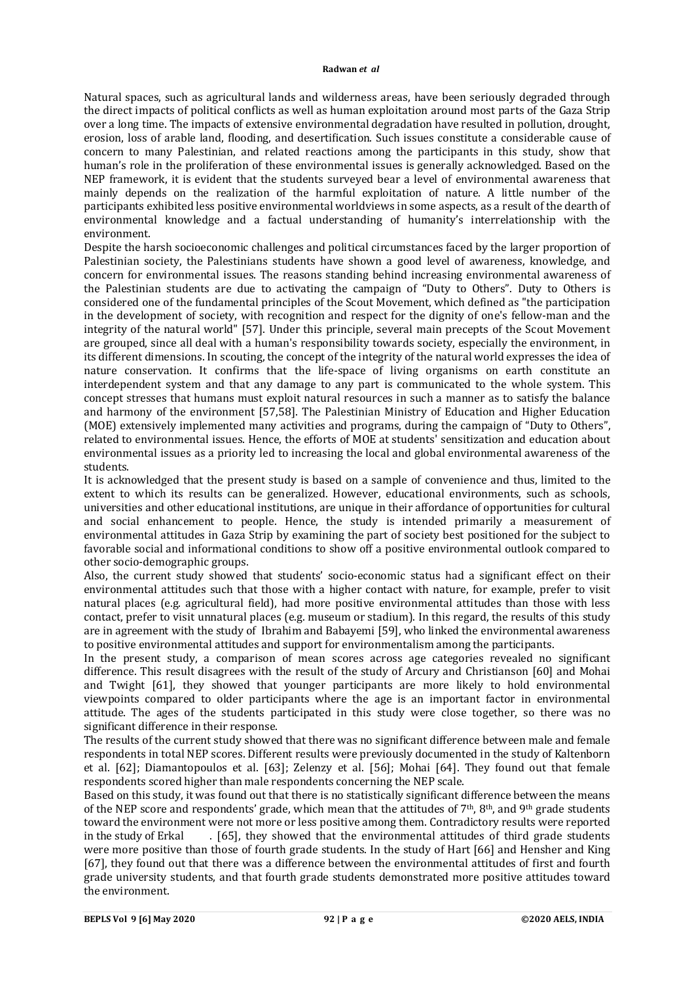Natural spaces, such as agricultural lands and wilderness areas, have been seriously degraded through the direct impacts of political conflicts as well as human exploitation around most parts of the Gaza Strip over a long time. The impacts of extensive environmental degradation have resulted in pollution, drought, erosion, loss of arable land, flooding, and desertification. Such issues constitute a considerable cause of concern to many Palestinian, and related reactions among the participants in this study, show that human's role in the proliferation of these environmental issues is generally acknowledged. Based on the NEP framework, it is evident that the students surveyed bear a level of environmental awareness that mainly depends on the realization of the harmful exploitation of nature. A little number of the participants exhibited less positive environmental worldviews in some aspects, as a result of the dearth of environmental knowledge and a factual understanding of humanity's interrelationship with the environment.

Despite the harsh socioeconomic challenges and political circumstances faced by the larger proportion of Palestinian society, the Palestinians students have shown a good level of awareness, knowledge, and concern for environmental issues. The reasons standing behind increasing environmental awareness of the Palestinian students are due to activating the campaign of "Duty to Others". Duty to Others is considered one of the fundamental principles of the Scout Movement, which defined as "the participation in the development of society, with recognition and respect for the dignity of one's fellow-man and the integrity of the natural world" [57]. Under this principle, several main precepts of the Scout Movement are grouped, since all deal with a human's responsibility towards society, especially the environment, in its different dimensions. In scouting, the concept of the integrity of the natural world expresses the idea of nature conservation. It confirms that the life-space of living organisms on earth constitute an interdependent system and that any damage to any part is communicated to the whole system. This concept stresses that humans must exploit natural resources in such a manner as to satisfy the balance and harmony of the environment [57,58]. The Palestinian Ministry of Education and Higher Education (MOE) extensively implemented many activities and programs, during the campaign of "Duty to Others", related to environmental issues. Hence, the efforts of MOE at students' sensitization and education about environmental issues as a priority led to increasing the local and global environmental awareness of the students.

It is acknowledged that the present study is based on a sample of convenience and thus, limited to the extent to which its results can be generalized. However, educational environments, such as schools, universities and other educational institutions, are unique in their affordance of opportunities for cultural and social enhancement to people. Hence, the study is intended primarily a measurement of environmental attitudes in Gaza Strip by examining the part of society best positioned for the subject to favorable social and informational conditions to show off a positive environmental outlook compared to other socio-demographic groups.

Also, the current study showed that students' socio-economic status had a significant effect on their environmental attitudes such that those with a higher contact with nature, for example, prefer to visit natural places (e.g. agricultural field), had more positive environmental attitudes than those with less contact, prefer to visit unnatural places (e.g. museum or stadium). In this regard, the results of this study are in agreement with the study of Ibrahim and Babayemi [59], who linked the environmental awareness to positive environmental attitudes and support for environmentalism among the participants.

In the present study, a comparison of mean scores across age categories revealed no significant difference. This result disagrees with the result of the study of Arcury and Christianson [60] and Mohai and Twight [61], they showed that younger participants are more likely to hold environmental viewpoints compared to older participants where the age is an important factor in environmental attitude. The ages of the students participated in this study were close together, so there was no significant difference in their response.

The results of the current study showed that there was no significant difference between male and female respondents in total NEP scores. Different results were previously documented in the study of Kaltenborn et al. [62]; Diamantopoulos et al. [63]; Zelenzy et al. [56]; Mohai [64]. They found out that female respondents scored higher than male respondents concerning the NEP scale.

Based on this study, it was found out that there is no statistically significant difference between the means of the NEP score and respondents' grade, which mean that the attitudes of  $7<sup>th</sup>$ , 8<sup>th</sup>, and 9<sup>th</sup> grade students toward the environment were not more or less positive among them. Contradictory results were reported<br>in the study of Erkal [65], they showed that the environmental attitudes of third grade students . [65], they showed that the environmental attitudes of third grade students were more positive than those of fourth grade students. In the study of Hart [66] and Hensher and King [67], they found out that there was a difference between the environmental attitudes of first and fourth grade university students, and that fourth grade students demonstrated more positive attitudes toward the environment.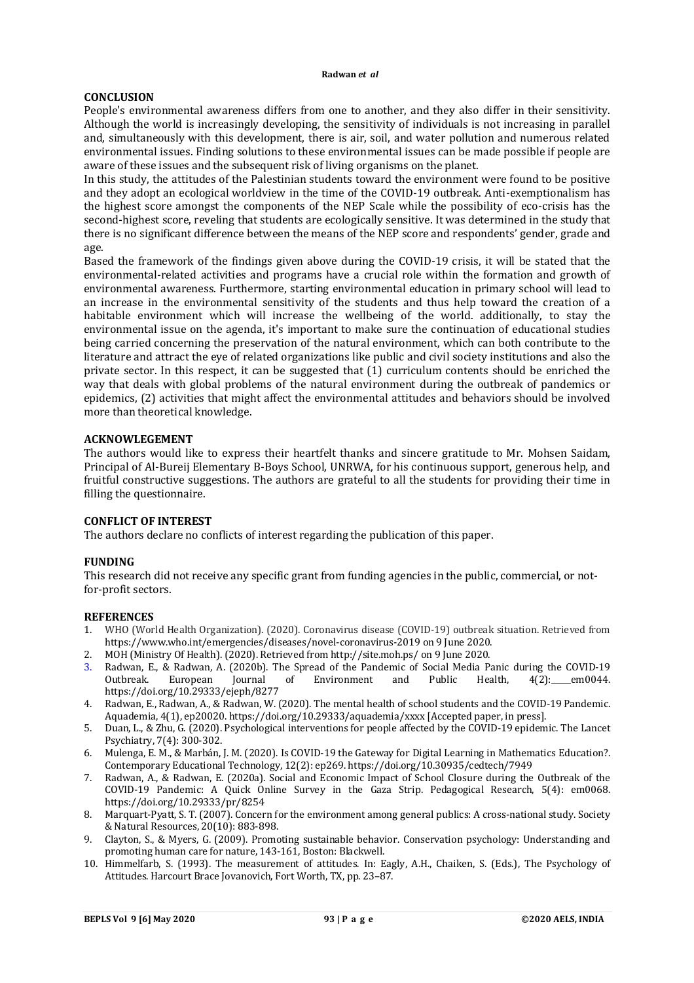## **CONCLUSION**

People's environmental awareness differs from one to another, and they also differ in their sensitivity. Although the world is increasingly developing, the sensitivity of individuals is not increasing in parallel and, simultaneously with this development, there is air, soil, and water pollution and numerous related environmental issues. Finding solutions to these environmental issues can be made possible if people are aware of these issues and the subsequent risk of living organisms on the planet.

In this study, the attitudes of the Palestinian students toward the environment were found to be positive and they adopt an ecological worldview in the time of the COVID-19 outbreak. Anti-exemptionalism has the highest score amongst the components of the NEP Scale while the possibility of eco-crisis has the second-highest score, reveling that students are ecologically sensitive. It was determined in the study that there is no significant difference between the means of the NEP score and respondents' gender, grade and age.

Based the framework of the findings given above during the COVID-19 crisis, it will be stated that the environmental-related activities and programs have a crucial role within the formation and growth of environmental awareness. Furthermore, starting environmental education in primary school will lead to an increase in the environmental sensitivity of the students and thus help toward the creation of a habitable environment which will increase the wellbeing of the world. additionally, to stay the environmental issue on the agenda, it's important to make sure the continuation of educational studies being carried concerning the preservation of the natural environment, which can both contribute to the literature and attract the eye of related organizations like public and civil society institutions and also the private sector. In this respect, it can be suggested that (1) curriculum contents should be enriched the way that deals with global problems of the natural environment during the outbreak of pandemics or epidemics, (2) activities that might affect the environmental attitudes and behaviors should be involved more than theoretical knowledge.

## **ACKNOWLEGEMENT**

The authors would like to express their heartfelt thanks and sincere gratitude to Mr. Mohsen Saidam, Principal of Al-Bureij Elementary B-Boys School, UNRWA, for his continuous support, generous help, and fruitful constructive suggestions. The authors are grateful to all the students for providing their time in filling the questionnaire.

## **CONFLICT OF INTEREST**

The authors declare no conflicts of interest regarding the publication of this paper.

## **FUNDING**

This research did not receive any specific grant from funding agencies in the public, commercial, or notfor-profit sectors.

## **REFERENCES**

- 1. WHO (World Health Organization). (2020). Coronavirus disease (COVID-19) outbreak situation. Retrieved from <https://www.who.int/emergencies/diseases/novel-coronavirus-2019>on 9 June 2020.
- 2. MOH (Ministry Of Health). (2020). Retrieved from <http://site.moh.ps/> on 9 June 2020.<br>3. Radwan, E., & Radwan, A. (2020b). The Spread of the Pandemic of Social Media Pa
- Radwan, E., & Radwan, A. (2020b). The Spread of the Pandemic of Social Media Panic during the COVID-19 Outbreak. European Journal of Environment and Public Health, 4(2): em0044. <https://doi.org/10.29333/ejeph/8277>
- 4. Radwan, E., Radwan, A., & Radwan, W. (2020). The mental health of school students and the COVID-19 Pandemic. Aquademia, 4(1), ep20020. <https://doi.org/10.29333/aquademia/xxxx> [Accepted paper, in press].
- 5. Duan, L., & Zhu, G. (2020). Psychological interventions for people affected by the COVID-19 epidemic. The Lancet Psychiatry, 7(4): 300-302.
- 6. Mulenga, E. M., & Marbán, J. M. (2020). Is COVID-19 the Gateway for Digital Learning in Mathematics Education?. Contemporary Educational Technology, 12(2): ep269. <https://doi.org/10.30935/cedtech/7949>
- 7. Radwan, A., & Radwan, E. (2020a). Social and Economic Impact of School Closure during the Outbreak of the COVID-19 Pandemic: A Quick Online Survey in the Gaza Strip. Pedagogical Research, 5(4): em0068. <https://doi.org/10.29333/pr/8254>
- 8. Marquart-Pyatt, S. T. (2007). Concern for the environment among general publics: A cross-national study. Society & Natural Resources, 20(10): 883-898.
- 9. Clayton, S., & Myers, G. (2009). Promoting sustainable behavior. Conservation psychology: Understanding and promoting human care for nature, 143-161, Boston: Blackwell.
- 10. Himmelfarb, S. (1993). The measurement of attitudes. In: Eagly, A.H., Chaiken, S. (Eds.), The Psychology of Attitudes. Harcourt Brace Jovanovich, Fort Worth, TX, pp. 23–87.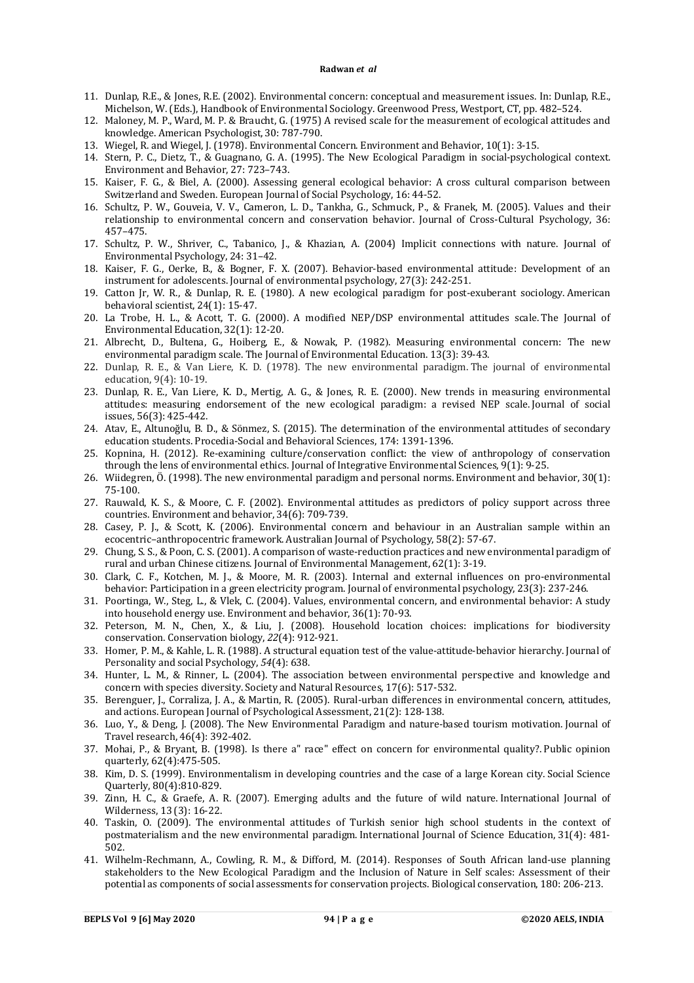- 11. Dunlap, R.E., & Jones, R.E. (2002). Environmental concern: conceptual and measurement issues. In: Dunlap, R.E., Michelson, W. (Eds.), Handbook of Environmental Sociology. Greenwood Press, Westport, CT, pp. 482–524.
- 12. Maloney, M. P., Ward, M. P. & Braucht, G. (1975) A revised scale for the measurement of ecological attitudes and knowledge. American Psychologist, 30: 787-790.
- 13. Wiegel, R. and Wiegel, J. (1978). Environmental Concern. Environment and Behavior, 10(1): 3-15.
- 14. Stern, P. C., Dietz, T., & Guagnano, G. A. (1995). The New Ecological Paradigm in social-psychological context. Environment and Behavior, 27: 723–743.
- 15. Kaiser, F. G., & Biel, A. (2000). Assessing general ecological behavior: A cross cultural comparison between Switzerland and Sweden. European Journal of Social Psychology, 16: 44-52.
- 16. Schultz, P. W., Gouveia, V. V., Cameron, L. D., Tankha, G., Schmuck, P., & Franek, M. (2005). Values and their relationship to environmental concern and conservation behavior. Journal of Cross-Cultural Psychology, 36: 457–475.
- 17. Schultz, P. W., Shriver, C., Tabanico, J., & Khazian, A. (2004) Implicit connections with nature. Journal of Environmental Psychology, 24: 31–42.
- 18. Kaiser, F. G., Oerke, B., & Bogner, F. X. (2007). Behavior-based environmental attitude: Development of an instrument for adolescents. Journal of environmental psychology, 27(3): 242-251.
- 19. Catton Jr, W. R., & Dunlap, R. E. (1980). A new ecological paradigm for post-exuberant sociology. American behavioral scientist, 24(1): 15-47.
- 20. La Trobe, H. L., & Acott, T. G. (2000). A modified NEP/DSP environmental attitudes scale. The Journal of Environmental Education, 32(1): 12-20.
- 21. Albrecht, D., Bultena, G., Hoiberg, E., & Nowak, P. (1982). Measuring environmental concern: The new environmental paradigm scale. The Journal of Environmental Education. 13(3): 39-43.
- 22. Dunlap, R. E., & Van Liere, K. D. (1978). The new environmental paradigm. The journal of environmental education, 9(4): 10-19.
- 23. Dunlap, R. E., Van Liere, K. D., Mertig, A. G., & Jones, R. E. (2000). New trends in measuring environmental attitudes: measuring endorsement of the new ecological paradigm: a revised NEP scale. Journal of social issues, 56(3): 425-442.
- 24. Atav, E., Altunoğlu, B. D., & Sönmez, S. (2015). The determination of the environmental attitudes of secondary education students. Procedia-Social and Behavioral Sciences, 174: 1391-1396.
- 25. Kopnina, H. (2012). Re-examining culture/conservation conflict: the view of anthropology of conservation through the lens of environmental ethics. Journal of Integrative Environmental Sciences, 9(1): 9-25.
- 26. Wiidegren, Ö. (1998). The new environmental paradigm and personal norms. Environment and behavior, 30(1): 75-100.
- 27. Rauwald, K. S., & Moore, C. F. (2002). Environmental attitudes as predictors of policy support across three countries. Environment and behavior, 34(6): 709-739.
- 28. Casey, P. J., & Scott, K. (2006). Environmental concern and behaviour in an Australian sample within an ecocentric–anthropocentric framework. Australian Journal of Psychology, 58(2): 57-67.
- 29. Chung, S. S., & Poon, C. S. (2001). A comparison of waste-reduction practices and new environmental paradigm of rural and urban Chinese citizens. Journal of Environmental Management, 62(1): 3-19.
- 30. Clark, C. F., Kotchen, M. J., & Moore, M. R. (2003). Internal and external influences on pro-environmental behavior: Participation in a green electricity program. Journal of environmental psychology, 23(3): 237-246.
- 31. Poortinga, W., Steg, L., & Vlek, C. (2004). Values, environmental concern, and environmental behavior: A study into household energy use. Environment and behavior, 36(1): 70-93.
- 32. Peterson, M. N., Chen, X., & Liu, J. (2008). Household location choices: implications for biodiversity conservation. Conservation biology, *22*(4): 912-921.
- 33. Homer, P. M., & Kahle, L. R. (1988). A structural equation test of the value-attitude-behavior hierarchy. Journal of Personality and social Psychology, *54*(4): 638.
- 34. Hunter, L. M., & Rinner, L. (2004). The association between environmental perspective and knowledge and concern with species diversity. Society and Natural Resources, 17(6): 517-532.
- 35. Berenguer, J., Corraliza, J. A., & Martin, R. (2005). Rural-urban differences in environmental concern, attitudes, and actions. European Journal of Psychological Assessment, 21(2): 128-138.
- 36. Luo, Y., & Deng, J. (2008). The New Environmental Paradigm and nature-based tourism motivation. Journal of Travel research, 46(4): 392-402.
- 37. Mohai, P., & Bryant, B. (1998). Is there a" race" effect on concern for environmental quality?. Public opinion quarterly, 62(4):475-505.
- 38. Kim, D. S. (1999). Environmentalism in developing countries and the case of a large Korean city. Social Science Quarterly, 80(4):810-829.
- 39. Zinn, H. C., & Graefe, A. R. (2007). Emerging adults and the future of wild nature. International Journal of Wilderness, 13 (3): 16-22.
- 40. Taskin, O. (2009). The environmental attitudes of Turkish senior high school students in the context of postmaterialism and the new environmental paradigm. International Journal of Science Education, 31(4): 481- 502.
- 41. Wilhelm-Rechmann, A., Cowling, R. M., & Difford, M. (2014). Responses of South African land-use planning stakeholders to the New Ecological Paradigm and the Inclusion of Nature in Self scales: Assessment of their potential as components of social assessments for conservation projects. Biological conservation, 180: 206-213.